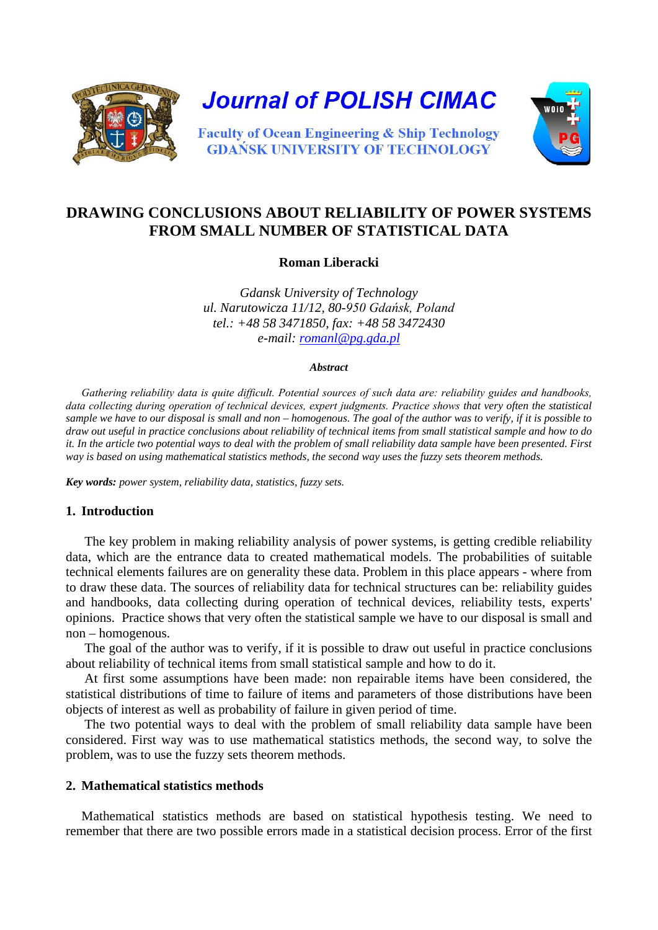

**Journal of POLISH CIMAC** 



**Faculty of Ocean Engineering & Ship Technology GDANSK UNIVERSITY OF TECHNOLOGY** 

# **DRAWING CONCLUSIONS ABOUT RELIABILITY OF POWER SYSTEMS FROM SMALL NUMBER OF STATISTICAL DATA**

**Roman Liberacki**

*Gdansk University of Technology ul. Narutowicza 11/12, 80-950 Gdańsk, Poland tel.: +48 58 3471850, fax: +48 58 3472430 e-mail: [romanl@pg.gda.pl](mailto:romanl@pg.gda.pl)*

#### *Abstract*

*Gathering reliability data is quite difficult. Potential sources of such data are: reliability guides and handbooks, data collecting during operation of technical devices, expert judgments. Practice shows that very often the statistical sample we have to our disposal is small and non – homogenous. The goal of the author was to verify, if it is possible to draw out useful in practice conclusions about reliability of technical items from small statistical sample and how to do it. In the article two potential ways to deal with the problem of small reliability data sample have been presented. First way is based on using mathematical statistics methods, the second way uses the fuzzy sets theorem methods.*

*Key words: power system, reliability data, statistics, fuzzy sets.*

# **1. Introduction**

The key problem in making reliability analysis of power systems, is getting credible reliability data, which are the entrance data to created mathematical models. The probabilities of suitable technical elements failures are on generality these data. Problem in this place appears - where from to draw these data. The sources of reliability data for technical structures can be: reliability guides and handbooks, data collecting during operation of technical devices, reliability tests, experts' opinions. Practice shows that very often the statistical sample we have to our disposal is small and non – homogenous.

The goal of the author was to verify, if it is possible to draw out useful in practice conclusions about reliability of technical items from small statistical sample and how to do it.

At first some assumptions have been made: non repairable items have been considered, the statistical distributions of time to failure of items and parameters of those distributions have been objects of interest as well as probability of failure in given period of time.

The two potential ways to deal with the problem of small reliability data sample have been considered. First way was to use mathematical statistics methods, the second way, to solve the problem, was to use the fuzzy sets theorem methods.

# **2. Mathematical statistics methods**

Mathematical statistics methods are based on statistical hypothesis testing. We need to remember that there are two possible errors made in a statistical decision process. Error of the first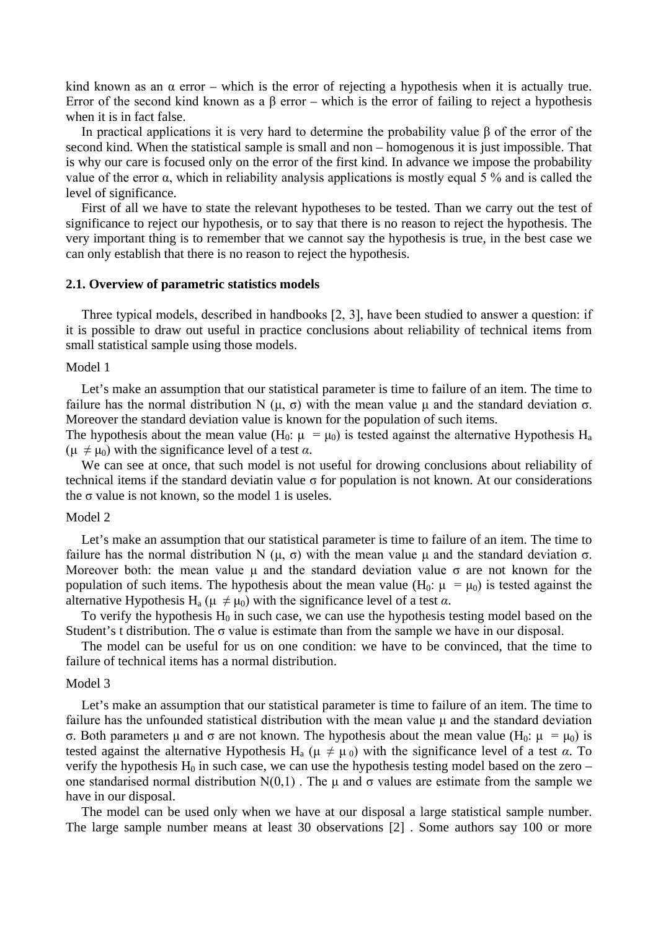kind known as an  $\alpha$  error – which is the error of rejecting a hypothesis when it is actually true. Error of the second kind known as a  $\beta$  error – which is the error of failing to reject a hypothesis when it is in fact false.

In practical applications it is very hard to determine the probability value  $\beta$  of the error of the second kind. When the statistical sample is small and non – homogenous it is just impossible. That is why our care is focused only on the error of the first kind. In advance we impose the probability value of the error α, which in reliability analysis applications is mostly equal 5 % and is called the level of significance.

First of all we have to state the relevant hypotheses to be tested. Than we carry out the test of significance to reject our hypothesis, or to say that there is no reason to reject the hypothesis. The very important thing is to remember that we cannot say the hypothesis is true, in the best case we can only establish that there is no reason to reject the hypothesis.

### **2.1. Overview of parametric statistics models**

Three typical models, described in handbooks [2, 3], have been studied to answer a question: if it is possible to draw out useful in practice conclusions about reliability of technical items from small statistical sample using those models.

### Model 1

Let's make an assumption that our statistical parameter is time to failure of an item. The time to failure has the normal distribution N (μ, σ) with the mean value μ and the standard deviation σ. Moreover the standard deviation value is known for the population of such items.

The hypothesis about the mean value (H<sub>0</sub>:  $\mu = \mu_0$ ) is tested against the alternative Hypothesis H<sub>a</sub>  $(\mu \neq \mu_0)$  with the significance level of a test  $\alpha$ .

We can see at once, that such model is not useful for drowing conclusions about reliability of technical items if the standard deviatin value σ for population is not known. At our considerations the  $\sigma$  value is not known, so the model 1 is useles.

#### Model 2

Let's make an assumption that our statistical parameter is time to failure of an item. The time to failure has the normal distribution N (μ, σ) with the mean value μ and the standard deviation σ. Moreover both: the mean value  $\mu$  and the standard deviation value  $\sigma$  are not known for the population of such items. The hypothesis about the mean value (H<sub>0</sub>:  $\mu = \mu_0$ ) is tested against the alternative Hypothesis H<sub>a</sub> ( $\mu \neq \mu_0$ ) with the significance level of a test  $\alpha$ .

To verify the hypothesis  $H_0$  in such case, we can use the hypothesis testing model based on the Student's t distribution. The  $\sigma$  value is estimate than from the sample we have in our disposal.

The model can be useful for us on one condition: we have to be convinced, that the time to failure of technical items has a normal distribution.

## Model 3

Let's make an assumption that our statistical parameter is time to failure of an item. The time to failure has the unfounded statistical distribution with the mean value  $\mu$  and the standard deviation σ. Both parameters μ and σ are not known. The hypothesis about the mean value (H<sub>0</sub>: μ =  $\mu$ <sub>0</sub>) is tested against the alternative Hypothesis H<sub>a</sub> ( $\mu \neq \mu_0$ ) with the significance level of a test  $\alpha$ . To verify the hypothesis  $H_0$  in such case, we can use the hypothesis testing model based on the zero – one standarised normal distribution  $N(0,1)$ . The  $\mu$  and  $\sigma$  values are estimate from the sample we have in our disposal.

The model can be used only when we have at our disposal a large statistical sample number. The large sample number means at least 30 observations [2] . Some authors say 100 or more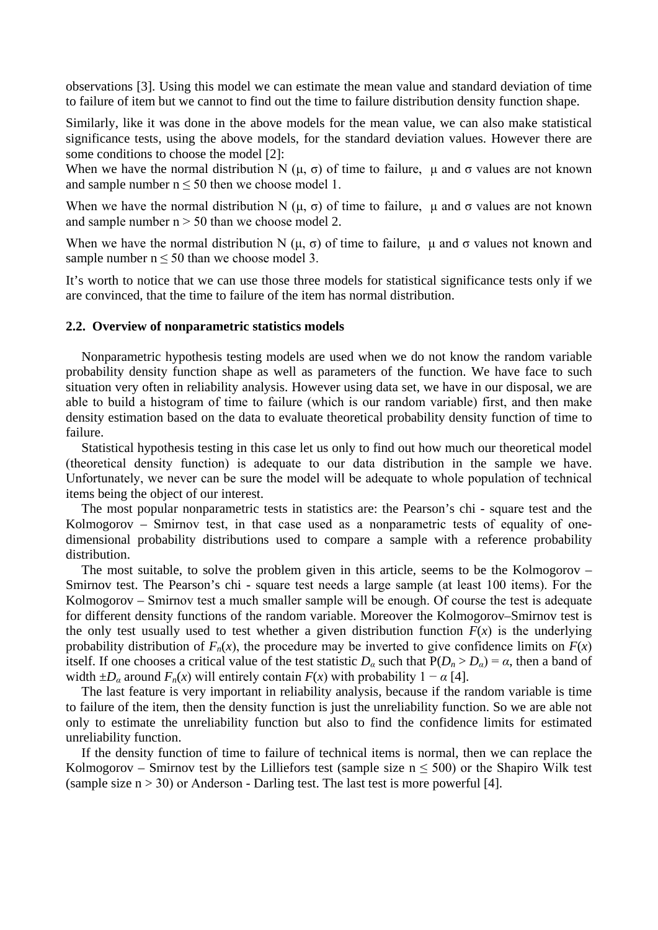observations [3]. Using this model we can estimate the mean value and standard deviation of time to failure of item but we cannot to find out the time to failure distribution density function shape.

Similarly, like it was done in the above models for the mean value, we can also make statistical significance tests, using the above models, for the standard deviation values. However there are some conditions to choose the model [2]:

When we have the normal distribution N  $(\mu, \sigma)$  of time to failure,  $\mu$  and  $\sigma$  values are not known and sample number  $n \le 50$  then we choose model 1.

When we have the normal distribution N  $(\mu, \sigma)$  of time to failure,  $\mu$  and  $\sigma$  values are not known and sample number  $n > 50$  than we choose model 2.

When we have the normal distribution N (μ, σ) of time to failure, μ and σ values not known and sample number  $n \leq 50$  than we choose model 3.

It's worth to notice that we can use those three models for statistical significance tests only if we are convinced, that the time to failure of the item has normal distribution.

## **2.2. Overview of nonparametric statistics models**

Nonparametric hypothesis testing models are used when we do not know the random variable probability density function shape as well as parameters of the function. We have face to such situation very often in reliability analysis. However using data set, we have in our disposal, we are able to build a histogram of time to failure (which is our random variable) first, and then make density estimation based on the data to evaluate theoretical probability density function of time to failure.

Statistical hypothesis testing in this case let us only to find out how much our theoretical model (theoretical density function) is adequate to our data distribution in the sample we have. Unfortunately, we never can be sure the model will be adequate to whole population of technical items being the object of our interest.

The most popular nonparametric tests in statistics are: the Pearson's chi - square test and the Kolmogorov – Smirnov test, in that case used as a nonparametric tests of equality of onedimensional probability distributions used to compare a sample with a reference probability distribution.

The most suitable, to solve the problem given in this article, seems to be the Kolmogorov – Smirnov test. The Pearson's chi - square test needs a large sample (at least 100 items). For the Kolmogorov – Smirnov test a much smaller sample will be enough. Of course the test is adequate for different density functions of the random variable. Moreover the Kolmogorov–Smirnov test is the only test usually used to test whether a given distribution function  $F(x)$  is the underlying probability distribution of  $F_n(x)$ , the procedure may be inverted to give confidence limits on  $F(x)$ itself. If one chooses a critical value of the test statistic  $D_\alpha$  such that  $P(D_n > D_\alpha) = \alpha$ , then a band of width  $\pm D_\alpha$  around  $F_n(x)$  will entirely contain  $F(x)$  with probability  $1 - \alpha$  [4].

The last feature is very important in reliability analysis, because if the random variable is time to failure of the item, then the density function is just the unreliability function. So we are able not only to estimate the unreliability function but also to find the confidence limits for estimated unreliability function.

If the density function of time to failure of technical items is normal, then we can replace the Kolmogorov – Smirnov test by the Lilliefors test (sample size  $n \le 500$ ) or the Shapiro Wilk test (sample size  $n > 30$ ) or Anderson - Darling test. The last test is more powerful [4].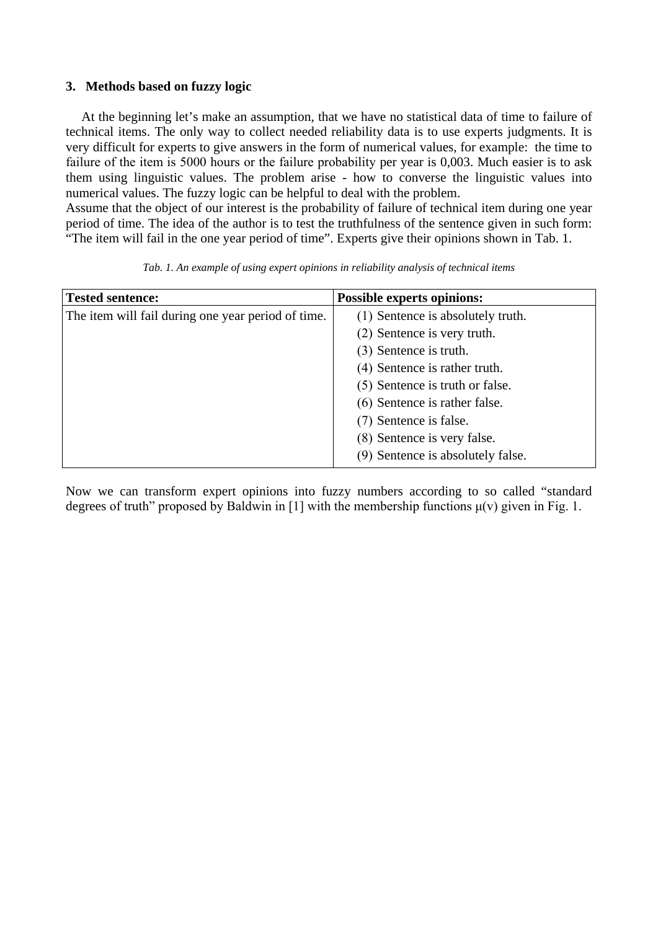# **3. Methods based on fuzzy logic**

At the beginning let's make an assumption, that we have no statistical data of time to failure of technical items. The only way to collect needed reliability data is to use experts judgments. It is very difficult for experts to give answers in the form of numerical values, for example: the time to failure of the item is 5000 hours or the failure probability per year is 0,003. Much easier is to ask them using linguistic values. The problem arise - how to converse the linguistic values into numerical values. The fuzzy logic can be helpful to deal with the problem.

Assume that the object of our interest is the probability of failure of technical item during one year period of time. The idea of the author is to test the truthfulness of the sentence given in such form: "The item will fail in the one year period of time". Experts give their opinions shown in Tab. 1.

| <b>Tested sentence:</b>                            | <b>Possible experts opinions:</b> |
|----------------------------------------------------|-----------------------------------|
| The item will fail during one year period of time. | (1) Sentence is absolutely truth. |
|                                                    | (2) Sentence is very truth.       |
|                                                    | (3) Sentence is truth.            |
|                                                    | (4) Sentence is rather truth.     |
|                                                    | (5) Sentence is truth or false.   |
|                                                    | (6) Sentence is rather false.     |
|                                                    | (7) Sentence is false.            |
|                                                    | (8) Sentence is very false.       |
|                                                    | (9) Sentence is absolutely false. |

*Tab. 1. An example of using expert opinions in reliability analysis of technical items*

Now we can transform expert opinions into fuzzy numbers according to so called "standard degrees of truth" proposed by Baldwin in [1] with the membership functions  $\mu(v)$  given in Fig. 1.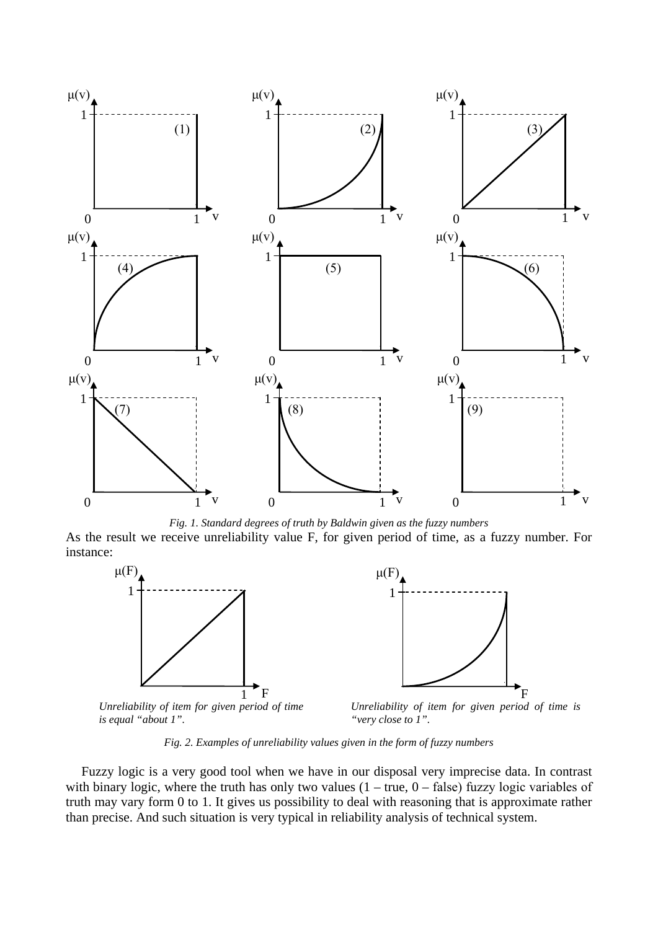

*Fig. 1. Standard degrees of truth by Baldwin given as the fuzzy numbers*

As the result we receive unreliability value F, for given period of time, as a fuzzy number. For instance:





*Unreliability of item for given period of time is equal "about 1".*

*Unreliability of item for given period of time is "very close to 1".*

*Fig. 2. Examples of unreliability values given in the form of fuzzy numbers*

Fuzzy logic is a very good tool when we have in our disposal very imprecise data. In contrast with binary logic, where the truth has only two values  $(1 - true, 0 - false)$  fuzzy logic variables of truth may vary form 0 to 1. It gives us possibility to deal with reasoning that is approximate rather than precise. And such situation is very typical in reliability analysis of technical system.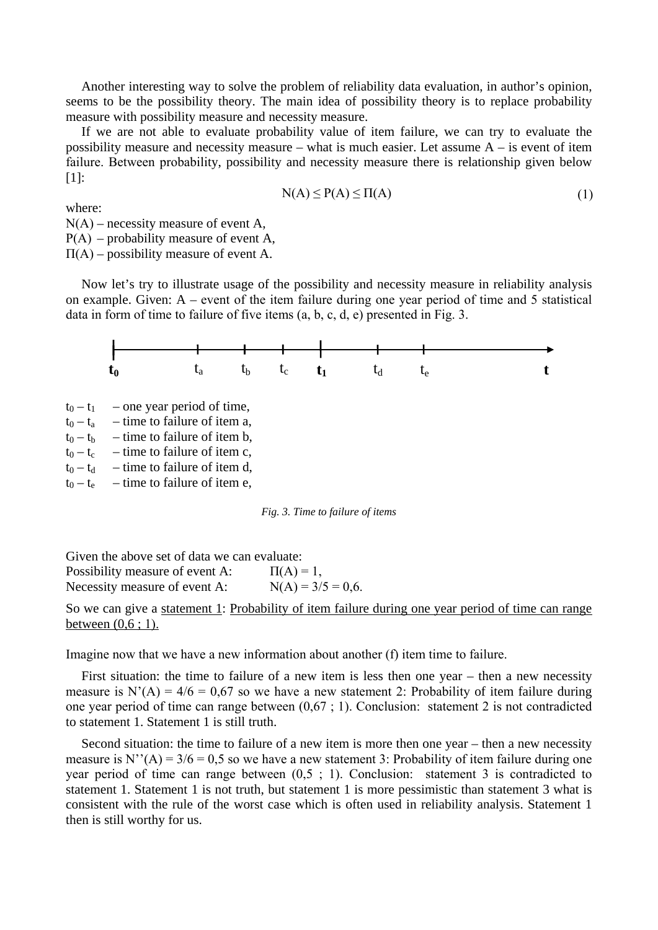Another interesting way to solve the problem of reliability data evaluation, in author's opinion, seems to be the possibility theory. The main idea of possibility theory is to replace probability measure with possibility measure and necessity measure.

If we are not able to evaluate probability value of item failure, we can try to evaluate the possibility measure and necessity measure – what is much easier. Let assume A – is event of item failure. Between probability, possibility and necessity measure there is relationship given below [1]:

$$
N(A) \le P(A) \le \Pi(A) \tag{1}
$$

where:

 $N(A)$  – necessity measure of event A,

 $P(A)$  – probability measure of event A.

 $\Pi(A)$  – possibility measure of event A.

Now let's try to illustrate usage of the possibility and necessity measure in reliability analysis on example. Given: A – event of the item failure during one year period of time and 5 statistical data in form of time to failure of five items (a, b, c, d, e) presented in Fig. 3.



 $t_0 - t_1$  – one year period of time,

 $t_0 - t_a$  – time to failure of item a,

 $t_0 - t_b$  – time to failure of item b,

 $t_0 - t_c$  – time to failure of item c,  $t_0 - t_d$  – time to failure of item d,

 $t_0 - t_e$  – time to failure of item e,

*Fig. 3. Time to failure of items*

Given the above set of data we can evaluate: Possibility measure of event A:  $\Pi(A) = 1$ , Necessity measure of event A:  $N(A) = 3/5 = 0.6$ .

So we can give a statement 1: Probability of item failure during one year period of time can range between  $(0.6; 1)$ .

Imagine now that we have a new information about another (f) item time to failure.

First situation: the time to failure of a new item is less then one year – then a new necessity measure is  $N'(A) = 4/6 = 0.67$  so we have a new statement 2: Probability of item failure during one year period of time can range between (0,67 ; 1). Conclusion: statement 2 is not contradicted to statement 1. Statement 1 is still truth.

Second situation: the time to failure of a new item is more then one year – then a new necessity measure is N''(A) =  $3/6 = 0.5$  so we have a new statement 3: Probability of item failure during one year period of time can range between (0,5 ; 1). Conclusion: statement 3 is contradicted to statement 1. Statement 1 is not truth, but statement 1 is more pessimistic than statement 3 what is consistent with the rule of the worst case which is often used in reliability analysis. Statement 1 then is still worthy for us.